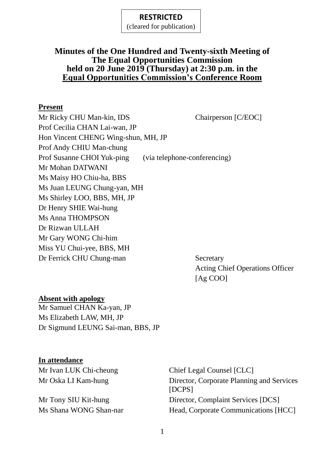(cleared for publication)

### **Minutes of the One Hundred and Twenty-sixth Meeting of The Equal Opportunities Commission held on 20 June 2019 (Thursday) at 2:30 p.m. in the Equal Opportunities Commission's Conference Room**

#### **Present**

Mr Ricky CHU Man-kin, IDS Chairperson [C/EOC] Prof Cecilia CHAN Lai-wan, JP Hon Vincent CHENG Wing-shun, MH, JP Prof Andy CHIU Man-chung Prof Susanne CHOI Yuk-ping (via telephone-conferencing) Mr Mohan DATWANI Ms Maisy HO Chiu-ha, BBS Ms Juan LEUNG Chung-yan, MH Ms Shirley LOO, BBS, MH, JP Dr Henry SHIE Wai-hung Ms Anna THOMPSON Dr Rizwan ULLAH Mr Gary WONG Chi-him Miss YU Chui-yee, BBS, MH Dr Ferrick CHU Chung-man Secretary

Acting Chief Operations Officer [Ag COO]

#### **Absent with apology**

Mr Samuel CHAN Ka-yan, JP Ms Elizabeth LAW, MH, JP Dr Sigmund LEUNG Sai-man, BBS, JP

#### **In attendance**

Mr Ivan LUK Chi-cheung Chief Legal Counsel [CLC] Mr Oska LI Kam-hung Director, Corporate Planning and Services [DCPS] Mr Tony SIU Kit-hung Director, Complaint Services [DCS] Ms Shana WONG Shan-nar Head, Corporate Communications [HCC]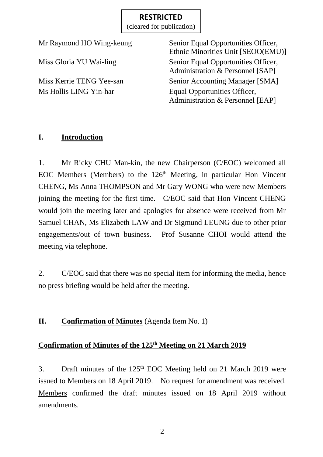(cleared for publication)

Mr Raymond HO Wing-keung Senior Equal Opportunities Officer, Ethnic Minorities Unit [SEOO(EMU)] Miss Gloria YU Wai-ling Senior Equal Opportunities Officer, Administration & Personnel [SAP] Miss Kerrie TENG Yee-san Senior Accounting Manager [SMA] Ms Hollis LING Yin-har Equal Opportunities Officer, Administration & Personnel [EAP]

### **I. Introduction**

1. Mr Ricky CHU Man-kin, the new Chairperson (C/EOC) welcomed all EOC Members (Members) to the  $126<sup>th</sup>$  Meeting, in particular Hon Vincent CHENG, Ms Anna THOMPSON and Mr Gary WONG who were new Members joining the meeting for the first time. C/EOC said that Hon Vincent CHENG would join the meeting later and apologies for absence were received from Mr Samuel CHAN, Ms Elizabeth LAW and Dr Sigmund LEUNG due to other prior engagements/out of town business. Prof Susanne CHOI would attend the meeting via telephone.

2. C/EOC said that there was no special item for informing the media, hence no press briefing would be held after the meeting.

**II. Confirmation of Minutes** (Agenda Item No. 1)

#### **Confirmation of Minutes of the 125 th Meeting on 21 March 2019**

3. Draft minutes of the 125<sup>th</sup> EOC Meeting held on 21 March 2019 were issued to Members on 18 April 2019. No request for amendment was received. Members confirmed the draft minutes issued on 18 April 2019 without amendments.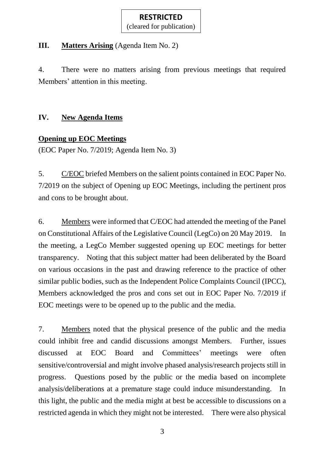(cleared for publication)

### **III. Matters Arising** (Agenda Item No. 2)

4. There were no matters arising from previous meetings that required Members' attention in this meeting.

## **IV. New Agenda Items**

## **Opening up EOC Meetings**

(EOC Paper No. 7/2019; Agenda Item No. 3)

5. C/EOC briefed Members on the salient points contained in EOC Paper No. 7/2019 on the subject of Opening up EOC Meetings, including the pertinent pros and cons to be brought about.

6. Members were informed that C/EOC had attended the meeting of the Panel on Constitutional Affairs of the Legislative Council (LegCo) on 20 May 2019. In the meeting, a LegCo Member suggested opening up EOC meetings for better transparency. Noting that this subject matter had been deliberated by the Board on various occasions in the past and drawing reference to the practice of other similar public bodies, such as the Independent Police Complaints Council (IPCC), Members acknowledged the pros and cons set out in EOC Paper No. 7/2019 if EOC meetings were to be opened up to the public and the media.

7. Members noted that the physical presence of the public and the media could inhibit free and candid discussions amongst Members. Further, issues discussed at EOC Board and Committees' meetings were often sensitive/controversial and might involve phased analysis/research projects still in progress. Questions posed by the public or the media based on incomplete analysis/deliberations at a premature stage could induce misunderstanding. In this light, the public and the media might at best be accessible to discussions on a restricted agenda in which they might not be interested. There were also physical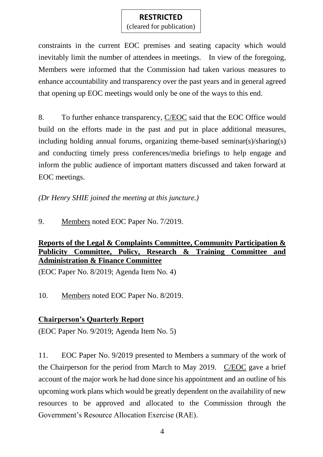(cleared for publication)

constraints in the current EOC premises and seating capacity which would inevitably limit the number of attendees in meetings. In view of the foregoing, Members were informed that the Commission had taken various measures to enhance accountability and transparency over the past years and in general agreed that opening up EOC meetings would only be one of the ways to this end.

8. To further enhance transparency, C/EOC said that the EOC Office would build on the efforts made in the past and put in place additional measures, including holding annual forums, organizing theme-based seminar(s)/sharing(s) and conducting timely press conferences/media briefings to help engage and inform the public audience of important matters discussed and taken forward at EOC meetings.

*(Dr Henry SHIE joined the meeting at this juncture.)*

9. Members noted EOC Paper No. 7/2019.

### **Reports of the Legal & Complaints Committee, Community Participation &**  Publicity Committee, Policy, Research & Training Committee **Administration & Finance Committee**

(EOC Paper No. 8/2019; Agenda Item No. 4)

10. Members noted EOC Paper No. 8/2019.

## **Chairperson's Quarterly Report**

(EOC Paper No. 9/2019; Agenda Item No. 5)

11. EOC Paper No. 9/2019 presented to Members a summary of the work of the Chairperson for the period from March to May 2019. C/EOC gave a brief account of the major work he had done since his appointment and an outline of his upcoming work plans which would be greatly dependent on the availability of new resources to be approved and allocated to the Commission through the Government's Resource Allocation Exercise (RAE).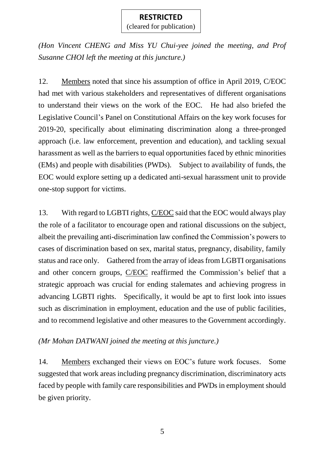(cleared for publication)

*(Hon Vincent CHENG and Miss YU Chui-yee joined the meeting, and Prof Susanne CHOI left the meeting at this juncture.)*

12. Members noted that since his assumption of office in April 2019, C/EOC had met with various stakeholders and representatives of different organisations to understand their views on the work of the EOC. He had also briefed the Legislative Council's Panel on Constitutional Affairs on the key work focuses for 2019-20, specifically about eliminating discrimination along a three-pronged approach (i.e. law enforcement, prevention and education), and tackling sexual harassment as well as the barriers to equal opportunities faced by ethnic minorities (EMs) and people with disabilities (PWDs). Subject to availability of funds, the EOC would explore setting up a dedicated anti-sexual harassment unit to provide one-stop support for victims.

13. With regard to LGBTI rights, C/EOC said that the EOC would always play the role of a facilitator to encourage open and rational discussions on the subject, albeit the prevailing anti-discrimination law confined the Commission's powers to cases of discrimination based on sex, marital status, pregnancy, disability, family status and race only. Gathered from the array of ideas from LGBTI organisations and other concern groups, C/EOC reaffirmed the Commission's belief that a strategic approach was crucial for ending stalemates and achieving progress in advancing LGBTI rights. Specifically, it would be apt to first look into issues such as discrimination in employment, education and the use of public facilities, and to recommend legislative and other measures to the Government accordingly.

### *(Mr Mohan DATWANI joined the meeting at this juncture.)*

14. Members exchanged their views on EOC's future work focuses. Some suggested that work areas including pregnancy discrimination, discriminatory acts faced by people with family care responsibilities and PWDs in employment should be given priority.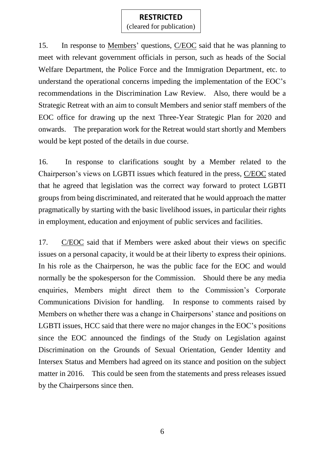(cleared for publication)

15. In response to Members' questions, C/EOC said that he was planning to meet with relevant government officials in person, such as heads of the Social Welfare Department, the Police Force and the Immigration Department, etc. to understand the operational concerns impeding the implementation of the EOC's recommendations in the Discrimination Law Review. Also, there would be a Strategic Retreat with an aim to consult Members and senior staff members of the EOC office for drawing up the next Three-Year Strategic Plan for 2020 and onwards. The preparation work for the Retreat would start shortly and Members would be kept posted of the details in due course.

16. In response to clarifications sought by a Member related to the Chairperson's views on LGBTI issues which featured in the press, C/EOC stated that he agreed that legislation was the correct way forward to protect LGBTI groups from being discriminated, and reiterated that he would approach the matter pragmatically by starting with the basic livelihood issues, in particular their rights in employment, education and enjoyment of public services and facilities.

17. C/EOC said that if Members were asked about their views on specific issues on a personal capacity, it would be at their liberty to express their opinions. In his role as the Chairperson, he was the public face for the EOC and would normally be the spokesperson for the Commission. Should there be any media enquiries, Members might direct them to the Commission's Corporate Communications Division for handling. In response to comments raised by Members on whether there was a change in Chairpersons' stance and positions on LGBTI issues, HCC said that there were no major changes in the EOC's positions since the EOC announced the findings of the Study on Legislation against Discrimination on the Grounds of Sexual Orientation, Gender Identity and Intersex Status and Members had agreed on its stance and position on the subject matter in 2016. This could be seen from the statements and press releases issued by the Chairpersons since then.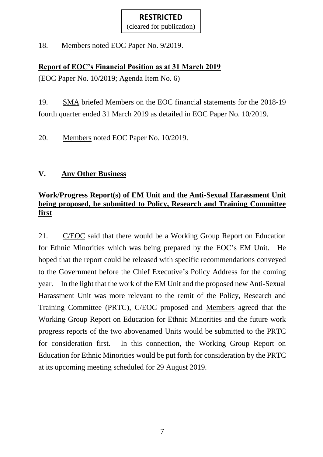(cleared for publication)

18. Members noted EOC Paper No. 9/2019.

# **Report of EOC's Financial Position as at 31 March 2019**

(EOC Paper No. 10/2019; Agenda Item No. 6)

19. SMA briefed Members on the EOC financial statements for the 2018-19 fourth quarter ended 31 March 2019 as detailed in EOC Paper No. 10/2019.

20. Members noted EOC Paper No. 10/2019.

# **V. Any Other Business**

## **Work/Progress Report(s) of EM Unit and the Anti-Sexual Harassment Unit being proposed, be submitted to Policy, Research and Training Committee first**

21. C/EOC said that there would be a Working Group Report on Education for Ethnic Minorities which was being prepared by the EOC's EM Unit. He hoped that the report could be released with specific recommendations conveyed to the Government before the Chief Executive's Policy Address for the coming year. In the light that the work of the EM Unit and the proposed new Anti-Sexual Harassment Unit was more relevant to the remit of the Policy, Research and Training Committee (PRTC), C/EOC proposed and Members agreed that the Working Group Report on Education for Ethnic Minorities and the future work progress reports of the two abovenamed Units would be submitted to the PRTC for consideration first. In this connection, the Working Group Report on Education for Ethnic Minorities would be put forth for consideration by the PRTC at its upcoming meeting scheduled for 29 August 2019.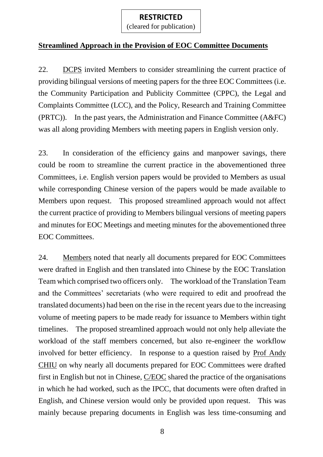## **Streamlined Approach in the Provision of EOC Committee Documents**

22. DCPS invited Members to consider streamlining the current practice of providing bilingual versions of meeting papers for the three EOC Committees (i.e. the Community Participation and Publicity Committee (CPPC), the Legal and Complaints Committee (LCC), and the Policy, Research and Training Committee (PRTC)). In the past years, the Administration and Finance Committee (A&FC) was all along providing Members with meeting papers in English version only.

23. In consideration of the efficiency gains and manpower savings, there could be room to streamline the current practice in the abovementioned three Committees, i.e. English version papers would be provided to Members as usual while corresponding Chinese version of the papers would be made available to Members upon request. This proposed streamlined approach would not affect the current practice of providing to Members bilingual versions of meeting papers and minutes for EOC Meetings and meeting minutes for the abovementioned three EOC Committees.

24. Members noted that nearly all documents prepared for EOC Committees were drafted in English and then translated into Chinese by the EOC Translation Team which comprised two officers only. The workload of the Translation Team and the Committees' secretariats (who were required to edit and proofread the translated documents) had been on the rise in the recent years due to the increasing volume of meeting papers to be made ready for issuance to Members within tight timelines. The proposed streamlined approach would not only help alleviate the workload of the staff members concerned, but also re-engineer the workflow involved for better efficiency. In response to a question raised by Prof Andy CHIU on why nearly all documents prepared for EOC Committees were drafted first in English but not in Chinese, C/EOC shared the practice of the organisations in which he had worked, such as the IPCC, that documents were often drafted in English, and Chinese version would only be provided upon request. This was mainly because preparing documents in English was less time-consuming and